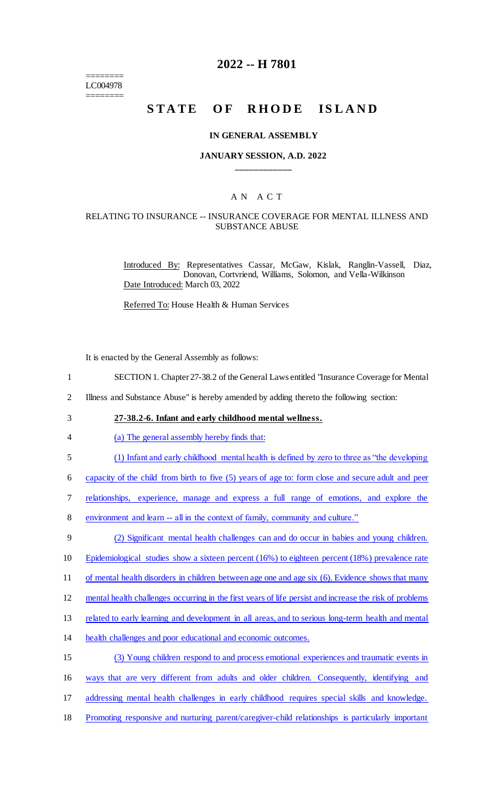======== LC004978 ========

# **2022 -- H 7801**

# STATE OF RHODE ISLAND

#### **IN GENERAL ASSEMBLY**

#### **JANUARY SESSION, A.D. 2022 \_\_\_\_\_\_\_\_\_\_\_\_**

## A N A C T

## RELATING TO INSURANCE -- INSURANCE COVERAGE FOR MENTAL ILLNESS AND SUBSTANCE ABUSE

Introduced By: Representatives Cassar, McGaw, Kislak, Ranglin-Vassell, Diaz, Donovan, Cortvriend, Williams, Solomon, and Vella-Wilkinson Date Introduced: March 03, 2022

Referred To: House Health & Human Services

It is enacted by the General Assembly as follows:

- 1 SECTION 1. Chapter 27-38.2 of the General Laws entitled "Insurance Coverage for Mental
- 2 Illness and Substance Abuse" is hereby amended by adding thereto the following section:
- 3 **27-38.2-6. Infant and early childhood mental wellness.**
- 4 (a) The general assembly hereby finds that:
- 5 (1) Infant and early childhood mental health is defined by zero to three as "the developing

6 capacity of the child from birth to five (5) years of age to: form close and secure adult and peer

- 7 relationships, experience, manage and express a full range of emotions, and explore the
- 8 environment and learn -- all in the context of family, community and culture."

9 (2) Significant mental health challenges can and do occur in babies and young children.

- 10 Epidemiological studies show a sixteen percent (16%) to eighteen percent (18%) prevalence rate
- 11 of mental health disorders in children between age one and age six (6). Evidence shows that many
- 12 mental health challenges occurring in the first years of life persist and increase the risk of problems
- 13 related to early learning and development in all areas, and to serious long-term health and mental
- 14 health challenges and poor educational and economic outcomes.
- 15 (3) Young children respond to and process emotional experiences and traumatic events in
- 16 ways that are very different from adults and older children. Consequently, identifying and
- 17 addressing mental health challenges in early childhood requires special skills and knowledge.
- 18 Promoting responsive and nurturing parent/caregiver-child relationships is particularly important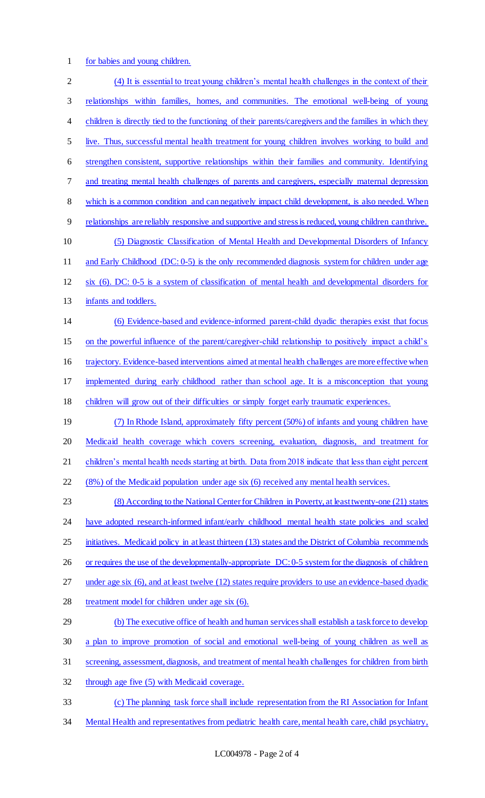for babies and young children.

 (4) It is essential to treat young children's mental health challenges in the context of their relationships within families, homes, and communities. The emotional well-being of young 4 children is directly tied to the functioning of their parents/caregivers and the families in which they live. Thus, successful mental health treatment for young children involves working to build and strengthen consistent, supportive relationships within their families and community. Identifying and treating mental health challenges of parents and caregivers, especially maternal depression which is a common condition and can negatively impact child development, is also needed. When relationships are reliably responsive and supportive and stress is reduced, young children can thrive. (5) Diagnostic Classification of Mental Health and Developmental Disorders of Infancy 11 and Early Childhood (DC: 0-5) is the only recommended diagnosis system for children under age six (6). DC: 0-5 is a system of classification of mental health and developmental disorders for 13 infants and toddlers. (6) Evidence-based and evidence-informed parent-child dyadic therapies exist that focus on the powerful influence of the parent/caregiver-child relationship to positively impact a child's trajectory. Evidence-based interventions aimed at mental health challenges are more effective when implemented during early childhood rather than school age. It is a misconception that young children will grow out of their difficulties or simply forget early traumatic experiences. (7) In Rhode Island, approximately fifty percent (50%) of infants and young children have 20 Medicaid health coverage which covers screening, evaluation, diagnosis, and treatment for 21 children's mental health needs starting at birth. Data from 2018 indicate that less than eight percent (8%) of the Medicaid population under age six (6) received any mental health services. (8) According to the National Center for Children in Poverty, at least twenty-one (21) states 24 have adopted research-informed infant/early childhood mental health state policies and scaled 25 initiatives. Medicaid policy in at least thirteen (13) states and the District of Columbia recommends or requires the use of the developmentally-appropriate DC: 0-5 system for the diagnosis of children under age six (6), and at least twelve (12) states require providers to use an evidence-based dyadic 28 treatment model for children under age six (6). (b) The executive office of health and human services shall establish a task force to develop a plan to improve promotion of social and emotional well-being of young children as well as screening, assessment, diagnosis, and treatment of mental health challenges for children from birth through age five (5) with Medicaid coverage. (c) The planning task force shall include representation from the RI Association for Infant Mental Health and representatives from pediatric health care, mental health care, child psychiatry,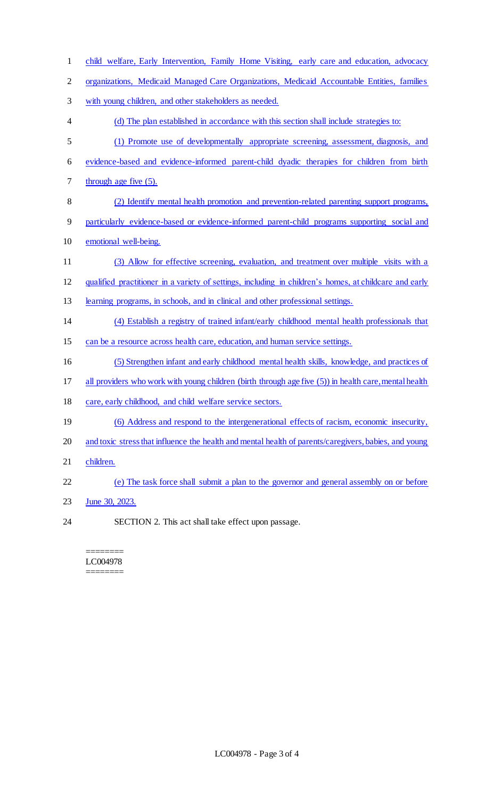| $\mathbf{1}$   | child welfare, Early Intervention, Family Home Visiting, early care and education, advocacy            |
|----------------|--------------------------------------------------------------------------------------------------------|
| $\overline{2}$ | organizations, Medicaid Managed Care Organizations, Medicaid Accountable Entities, families            |
| 3              | with young children, and other stakeholders as needed.                                                 |
| 4              | (d) The plan established in accordance with this section shall include strategies to:                  |
| 5              | (1) Promote use of developmentally appropriate screening, assessment, diagnosis, and                   |
| 6              | evidence-based and evidence-informed parent-child dyadic therapies for children from birth             |
| 7              | through age five (5).                                                                                  |
| 8              | (2) Identify mental health promotion and prevention-related parenting support programs,                |
| 9              | particularly evidence-based or evidence-informed parent-child programs supporting social and           |
| 10             | emotional well-being.                                                                                  |
| 11             | (3) Allow for effective screening, evaluation, and treatment over multiple visits with a               |
| 12             | qualified practitioner in a variety of settings, including in children's homes, at childcare and early |
| 13             | learning programs, in schools, and in clinical and other professional settings.                        |
| 14             | (4) Establish a registry of trained infant/early childhood mental health professionals that            |
| 15             | can be a resource across health care, education, and human service settings.                           |
| 16             | (5) Strengthen infant and early childhood mental health skills, knowledge, and practices of            |
| 17             | all providers who work with young children (birth through age five (5)) in health care, mental health  |
| 18             | care, early childhood, and child welfare service sectors.                                              |
| 19             | (6) Address and respond to the intergenerational effects of racism, economic insecurity,               |
| 20             | and toxic stress that influence the health and mental health of parents/caregivers, babies, and young  |
| 21             | children.                                                                                              |
| 22             | (e) The task force shall submit a plan to the governor and general assembly on or before               |
| 23             | June 30, 2023.                                                                                         |
| 24             | SECTION 2. This act shall take effect upon passage.                                                    |

======== LC004978 ========